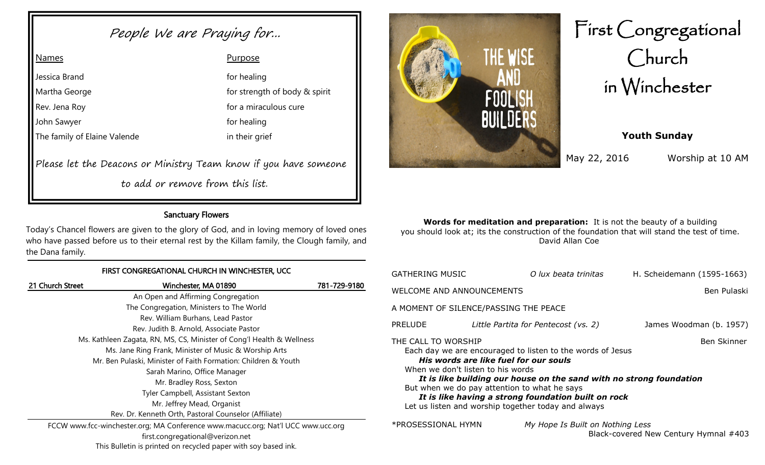# People We are Praying for...

Please let the Deacons or Ministry Team know if you have someone

to add or remove from this list.

# Sanctuary Flowers

Today's Chancel flowers are given to the glory of God, and in loving memory of loved ones who have passed before us to their eternal rest by the Killam family, the Clough family, and the Dana family.

#### FIRST CONGREGATIONAL CHURCH IN WINCHESTER, UCC

| 21 Church Street | Winchester, MA 01890                                                             | 781-729-9180 |
|------------------|----------------------------------------------------------------------------------|--------------|
|                  | An Open and Affirming Congregation                                               |              |
|                  | The Congregation, Ministers to The World                                         |              |
|                  | Rev. William Burhans, Lead Pastor                                                |              |
|                  | Rev. Judith B. Arnold, Associate Pastor                                          |              |
|                  | Ms. Kathleen Zagata, RN, MS, CS, Minister of Cong'l Health & Wellness            |              |
|                  | Ms. Jane Ring Frank, Minister of Music & Worship Arts                            |              |
|                  | Mr. Ben Pulaski, Minister of Faith Formation: Children & Youth                   |              |
|                  | Sarah Marino, Office Manager                                                     |              |
|                  | Mr. Bradley Ross, Sexton                                                         |              |
|                  | Tyler Campbell, Assistant Sexton                                                 |              |
|                  | Mr. Jeffrey Mead, Organist                                                       |              |
|                  | Rev. Dr. Kenneth Orth, Pastoral Counselor (Affiliate)                            |              |
|                  | FCCW www.fcc-winchester.org; MA Conference www.macucc.org; Nat'l UCC www.ucc.org |              |
|                  | first.congregational@verizon.net                                                 |              |

THE WISE FOOL

# First Congregational Church in Winchester

# **Youth Sunday**

May 22, 2016 Worship at 10 AM

**Words for meditation and preparation:** It is not the beauty of a building you should look at; its the construction of the foundation that will stand the test of time. David Allan Coe

| GATHERING MUSIC                                                                                                                                                                                                                                                                                                                                                                                                            |             | O lux beata trinitas                 | H. Scheidemann (1595-1663)            |  |  |
|----------------------------------------------------------------------------------------------------------------------------------------------------------------------------------------------------------------------------------------------------------------------------------------------------------------------------------------------------------------------------------------------------------------------------|-------------|--------------------------------------|---------------------------------------|--|--|
| WELCOME AND ANNOUNCEMENTS                                                                                                                                                                                                                                                                                                                                                                                                  | Ben Pulaski |                                      |                                       |  |  |
| A MOMENT OF SILENCE/PASSING THE PEACE                                                                                                                                                                                                                                                                                                                                                                                      |             |                                      |                                       |  |  |
| PRELUDE                                                                                                                                                                                                                                                                                                                                                                                                                    |             | Little Partita for Pentecost (vs. 2) | James Woodman (b. 1957)               |  |  |
| THE CALL TO WORSHIP<br><b>Ben Skinner</b><br>Each day we are encouraged to listen to the words of Jesus<br>His words are like fuel for our souls<br>When we don't listen to his words<br>It is like building our house on the sand with no strong foundation<br>But when we do pay attention to what he says<br>It is like having a strong foundation built on rock<br>Let us listen and worship together today and always |             |                                      |                                       |  |  |
| *PROSESSIONAL HYMN                                                                                                                                                                                                                                                                                                                                                                                                         |             | My Hope Is Built on Nothing Less     | Black-covered New Century Hymnal #403 |  |  |

This Bulletin is printed on recycled paper with soy based ink.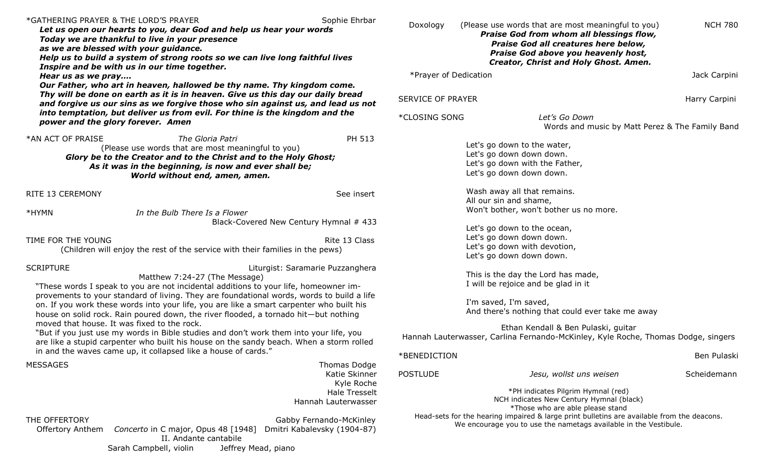| Sophie Ehrbar<br>*GATHERING PRAYER & THE LORD'S PRAYER<br>Let us open our hearts to you, dear God and help us hear your words<br>Today we are thankful to live in your presence<br>as we are blessed with your guidance.<br>Help us to build a system of strong roots so we can live long faithful lives<br>Inspire and be with us in our time together.<br>Hear us as we pray<br>Our Father, who art in heaven, hallowed be thy name. Thy kingdom come.<br>Thy will be done on earth as it is in heaven. Give us this day our daily bread<br>and forgive us our sins as we forgive those who sin against us, and lead us not |                                                                                                                   | Doxology<br>(Please use words that are most meaningful to you)<br>Praise God from whom all blessings flow,<br>Praise God all creatures here below,<br>Praise God above you heavenly host,<br>Creator, Christ and Holy Ghost. Amen.<br>*Prayer of Dedication<br><b>SERVICE OF PRAYER</b> |                                                                                                                                                                | <b>NCH 780</b><br>Jack Carpini<br>Harry Carpini |
|-------------------------------------------------------------------------------------------------------------------------------------------------------------------------------------------------------------------------------------------------------------------------------------------------------------------------------------------------------------------------------------------------------------------------------------------------------------------------------------------------------------------------------------------------------------------------------------------------------------------------------|-------------------------------------------------------------------------------------------------------------------|-----------------------------------------------------------------------------------------------------------------------------------------------------------------------------------------------------------------------------------------------------------------------------------------|----------------------------------------------------------------------------------------------------------------------------------------------------------------|-------------------------------------------------|
| into temptation, but deliver us from evil. For thine is the kingdom and the<br>power and the glory forever. Amen                                                                                                                                                                                                                                                                                                                                                                                                                                                                                                              |                                                                                                                   | *CLOSING SONG                                                                                                                                                                                                                                                                           | Let's Go Down                                                                                                                                                  | Words and music by Matt Perez & The Family Band |
| *AN ACT OF PRAISE<br>The Gloria Patri<br>(Please use words that are most meaningful to you)<br>Glory be to the Creator and to the Christ and to the Holy Ghost;<br>As it was in the beginning, is now and ever shall be;<br>World without end, amen, amen.                                                                                                                                                                                                                                                                                                                                                                    | PH 513                                                                                                            |                                                                                                                                                                                                                                                                                         | Let's go down to the water,<br>Let's go down down down.<br>Let's go down with the Father,<br>Let's go down down down.                                          |                                                 |
| RITE 13 CEREMONY                                                                                                                                                                                                                                                                                                                                                                                                                                                                                                                                                                                                              | See insert                                                                                                        |                                                                                                                                                                                                                                                                                         | Wash away all that remains.<br>All our sin and shame,                                                                                                          |                                                 |
| *HYMN<br>In the Bulb There Is a Flower                                                                                                                                                                                                                                                                                                                                                                                                                                                                                                                                                                                        |                                                                                                                   |                                                                                                                                                                                                                                                                                         | Won't bother, won't bother us no more.                                                                                                                         |                                                 |
|                                                                                                                                                                                                                                                                                                                                                                                                                                                                                                                                                                                                                               | Black-Covered New Century Hymnal # 433                                                                            |                                                                                                                                                                                                                                                                                         | Let's go down to the ocean,                                                                                                                                    |                                                 |
| TIME FOR THE YOUNG<br>(Children will enjoy the rest of the service with their families in the pews)                                                                                                                                                                                                                                                                                                                                                                                                                                                                                                                           | Rite 13 Class                                                                                                     |                                                                                                                                                                                                                                                                                         | Let's go down down down.<br>Let's go down with devotion,<br>Let's go down down down.                                                                           |                                                 |
| <b>SCRIPTURE</b><br>Matthew 7:24-27 (The Message)<br>"These words I speak to you are not incidental additions to your life, homeowner im-<br>provements to your standard of living. They are foundational words, words to build a life<br>on. If you work these words into your life, you are like a smart carpenter who built his<br>house on solid rock. Rain poured down, the river flooded, a tornado hit—but nothing<br>moved that house. It was fixed to the rock.                                                                                                                                                      | Liturgist: Saramarie Puzzanghera                                                                                  |                                                                                                                                                                                                                                                                                         | This is the day the Lord has made,<br>I will be rejoice and be glad in it<br>I'm saved, I'm saved,<br>And there's nothing that could ever take me away         |                                                 |
| "But if you just use my words in Bible studies and don't work them into your life, you<br>are like a stupid carpenter who built his house on the sandy beach. When a storm rolled<br>in and the waves came up, it collapsed like a house of cards."                                                                                                                                                                                                                                                                                                                                                                           |                                                                                                                   | Ethan Kendall & Ben Pulaski, guitar<br>Hannah Lauterwasser, Carlina Fernando-McKinley, Kyle Roche, Thomas Dodge, singers                                                                                                                                                                |                                                                                                                                                                |                                                 |
|                                                                                                                                                                                                                                                                                                                                                                                                                                                                                                                                                                                                                               |                                                                                                                   | *BENEDICTION                                                                                                                                                                                                                                                                            |                                                                                                                                                                | Ben Pulaski                                     |
| <b>MESSAGES</b>                                                                                                                                                                                                                                                                                                                                                                                                                                                                                                                                                                                                               | <b>Thomas Dodge</b><br>Katie Skinner<br>Kyle Roche                                                                | <b>POSTLUDE</b>                                                                                                                                                                                                                                                                         | Jesu, wollst uns weisen                                                                                                                                        | Scheidemann                                     |
|                                                                                                                                                                                                                                                                                                                                                                                                                                                                                                                                                                                                                               | <b>Hale Tresselt</b><br>Hannah Lauterwasser                                                                       |                                                                                                                                                                                                                                                                                         | *PH indicates Pilgrim Hymnal (red)<br>NCH indicates New Century Hymnal (black)<br>*Those who are able please stand                                             |                                                 |
| THE OFFERTORY<br>Offertory Anthem<br>II. Andante cantabile<br>Sarah Campbell, violin                                                                                                                                                                                                                                                                                                                                                                                                                                                                                                                                          | Gabby Fernando-McKinley<br>Concerto in C major, Opus 48 [1948] Dmitri Kabalevsky (1904-87)<br>Jeffrey Mead, piano |                                                                                                                                                                                                                                                                                         | Head-sets for the hearing impaired & large print bulletins are available from the deacons.<br>We encourage you to use the nametags available in the Vestibule. |                                                 |